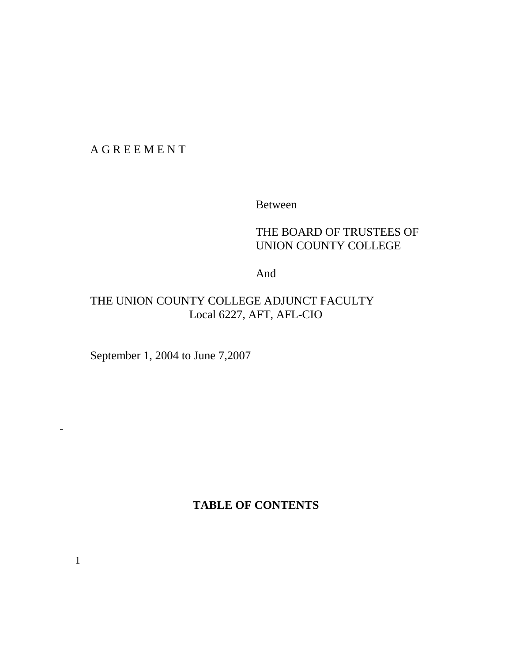A G R E E M E N T

Between

# THE BOARD OF TRUSTEES OF UNION COUNTY COLLEGE

And

# THE UNION COUNTY COLLEGE ADJUNCT FACULTY Local 6227, AFT, AFL-CIO

September 1, 2004 to June 7,2007

**TABLE OF CONTENTS**

 $\overline{\phantom{a}}$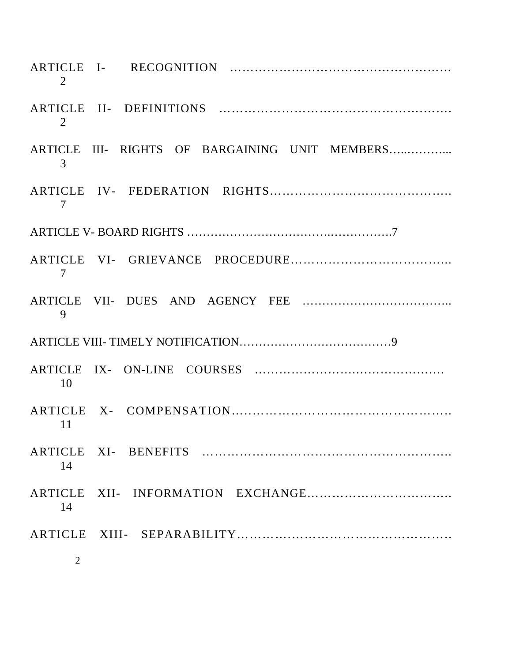| 2              |                                                |
|----------------|------------------------------------------------|
| 2              |                                                |
| 3              | ARTICLE III- RIGHTS OF BARGAINING UNIT MEMBERS |
| 7              |                                                |
|                |                                                |
| 7              |                                                |
| 9              |                                                |
|                |                                                |
| 10             |                                                |
| 11             |                                                |
| 14             |                                                |
| 14             |                                                |
|                |                                                |
| $\overline{2}$ |                                                |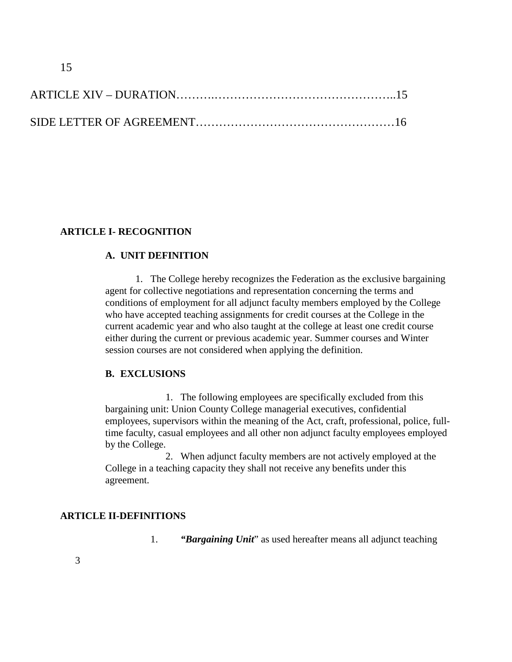### **ARTICLE I- RECOGNITION**

### **A. UNIT DEFINITION**

1. The College hereby recognizes the Federation as the exclusive bargaining agent for collective negotiations and representation concerning the terms and conditions of employment for all adjunct faculty members employed by the College who have accepted teaching assignments for credit courses at the College in the current academic year and who also taught at the college at least one credit course either during the current or previous academic year. Summer courses and Winter session courses are not considered when applying the definition.

#### **B. EXCLUSIONS**

1. The following employees are specifically excluded from this bargaining unit: Union County College managerial executives, confidential employees, supervisors within the meaning of the Act, craft, professional, police, fulltime faculty, casual employees and all other non adjunct faculty employees employed by the College.

2. When adjunct faculty members are not actively employed at the College in a teaching capacity they shall not receive any benefits under this agreement.

#### **ARTICLE II-DEFINITIONS**

1. *"Bargaining Unit*" as used hereafter means all adjunct teaching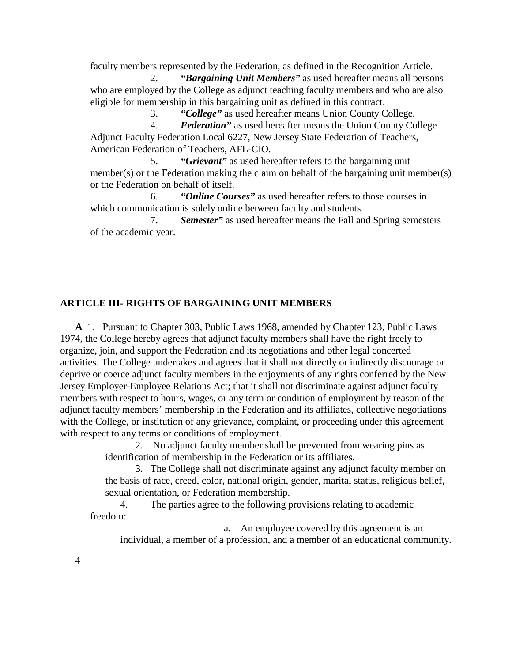faculty members represented by the Federation, as defined in the Recognition Article. 2. *"Bargaining Unit Members"* as used hereafter means all persons

who are employed by the College as adjunct teaching faculty members and who are also eligible for membership in this bargaining unit as defined in this contract.

3. *"College"* as used hereafter means Union County College.

4. *Federation"* as used hereafter means the Union County College Adjunct Faculty Federation Local 6227, New Jersey State Federation of Teachers, American Federation of Teachers, AFL-CIO.

5. *"Grievant"* as used hereafter refers to the bargaining unit member(s) or the Federation making the claim on behalf of the bargaining unit member(s) or the Federation on behalf of itself.

6. *"Online Courses"* as used hereafter refers to those courses in which communication is solely online between faculty and students.

7. *Semester"* as used hereafter means the Fall and Spring semesters of the academic year.

#### **ARTICLE III- RIGHTS OF BARGAINING UNIT MEMBERS**

 **A** 1. Pursuant to Chapter 303, Public Laws 1968, amended by Chapter 123, Public Laws 1974, the College hereby agrees that adjunct faculty members shall have the right freely to organize, join, and support the Federation and its negotiations and other legal concerted activities. The College undertakes and agrees that it shall not directly or indirectly discourage or deprive or coerce adjunct faculty members in the enjoyments of any rights conferred by the New Jersey Employer-Employee Relations Act; that it shall not discriminate against adjunct faculty members with respect to hours, wages, or any term or condition of employment by reason of the adjunct faculty members' membership in the Federation and its affiliates, collective negotiations with the College, or institution of any grievance, complaint, or proceeding under this agreement with respect to any terms or conditions of employment.

> 2. No adjunct faculty member shall be prevented from wearing pins as identification of membership in the Federation or its affiliates.

3. The College shall not discriminate against any adjunct faculty member on the basis of race, creed, color, national origin, gender, marital status, religious belief, sexual orientation, or Federation membership.

4. The parties agree to the following provisions relating to academic freedom:

a. An employee covered by this agreement is an individual, a member of a profession, and a member of an educational community.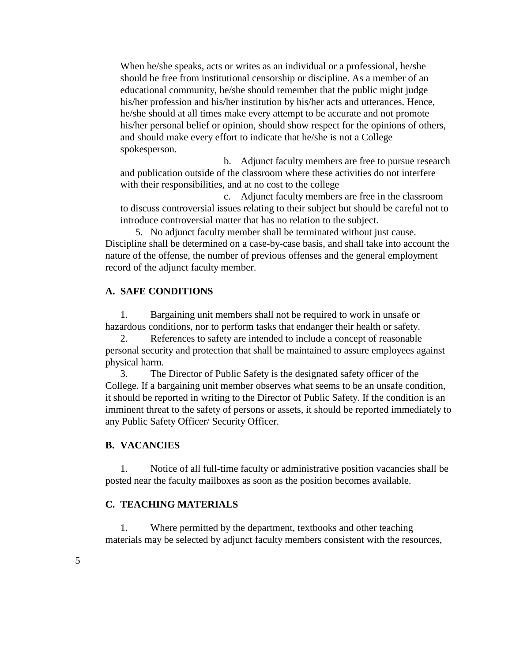When he/she speaks, acts or writes as an individual or a professional, he/she should be free from institutional censorship or discipline. As a member of an educational community, he/she should remember that the public might judge his/her profession and his/her institution by his/her acts and utterances. Hence, he/she should at all times make every attempt to be accurate and not promote his/her personal belief or opinion, should show respect for the opinions of others, and should make every effort to indicate that he/she is not a College spokesperson.

b. Adjunct faculty members are free to pursue research and publication outside of the classroom where these activities do not interfere with their responsibilities, and at no cost to the college

c. Adjunct faculty members are free in the classroom to discuss controversial issues relating to their subject but should be careful not to introduce controversial matter that has no relation to the subject.

5. No adjunct faculty member shall be terminated without just cause. Discipline shall be determined on a case-by-case basis, and shall take into account the nature of the offense, the number of previous offenses and the general employment record of the adjunct faculty member.

#### **A. SAFE CONDITIONS**

1. Bargaining unit members shall not be required to work in unsafe or hazardous conditions, nor to perform tasks that endanger their health or safety.

2. References to safety are intended to include a concept of reasonable personal security and protection that shall be maintained to assure employees against physical harm.

3. The Director of Public Safety is the designated safety officer of the College. If a bargaining unit member observes what seems to be an unsafe condition, it should be reported in writing to the Director of Public Safety. If the condition is an imminent threat to the safety of persons or assets, it should be reported immediately to any Public Safety Officer/ Security Officer.

#### **B. VACANCIES**

1. Notice of all full-time faculty or administrative position vacancies shall be posted near the faculty mailboxes as soon as the position becomes available.

#### **C. TEACHING MATERIALS**

1. Where permitted by the department, textbooks and other teaching materials may be selected by adjunct faculty members consistent with the resources,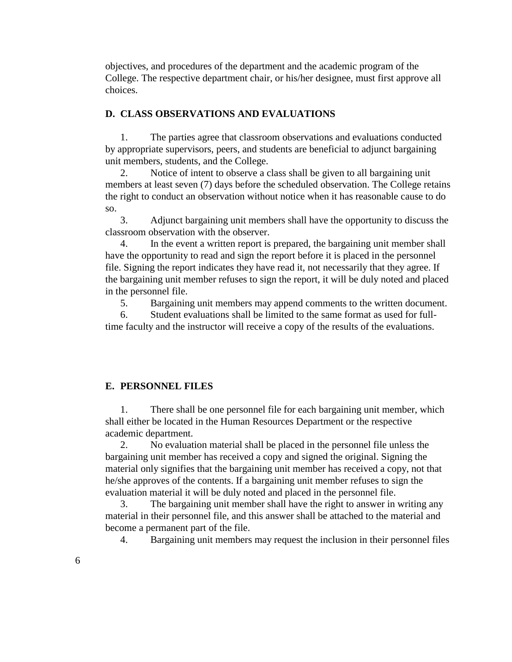objectives, and procedures of the department and the academic program of the College. The respective department chair, or his/her designee, must first approve all choices.

#### **D. CLASS OBSERVATIONS AND EVALUATIONS**

1. The parties agree that classroom observations and evaluations conducted by appropriate supervisors, peers, and students are beneficial to adjunct bargaining unit members, students, and the College.

2. Notice of intent to observe a class shall be given to all bargaining unit members at least seven (7) days before the scheduled observation. The College retains the right to conduct an observation without notice when it has reasonable cause to do so.

3. Adjunct bargaining unit members shall have the opportunity to discuss the classroom observation with the observer.

4. In the event a written report is prepared, the bargaining unit member shall have the opportunity to read and sign the report before it is placed in the personnel file. Signing the report indicates they have read it, not necessarily that they agree. If the bargaining unit member refuses to sign the report, it will be duly noted and placed in the personnel file.

5. Bargaining unit members may append comments to the written document.

6. Student evaluations shall be limited to the same format as used for fulltime faculty and the instructor will receive a copy of the results of the evaluations.

### **E. PERSONNEL FILES**

1. There shall be one personnel file for each bargaining unit member, which shall either be located in the Human Resources Department or the respective academic department.

2. No evaluation material shall be placed in the personnel file unless the bargaining unit member has received a copy and signed the original. Signing the material only signifies that the bargaining unit member has received a copy, not that he/she approves of the contents. If a bargaining unit member refuses to sign the evaluation material it will be duly noted and placed in the personnel file.

3. The bargaining unit member shall have the right to answer in writing any material in their personnel file, and this answer shall be attached to the material and become a permanent part of the file.

4. Bargaining unit members may request the inclusion in their personnel files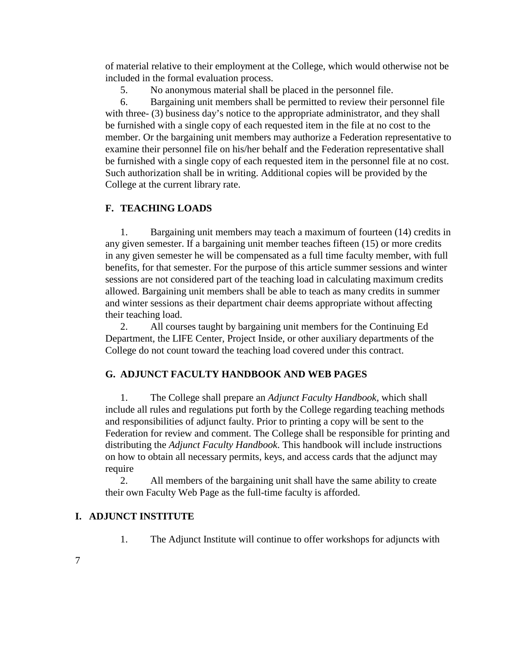of material relative to their employment at the College, which would otherwise not be included in the formal evaluation process.

5. No anonymous material shall be placed in the personnel file.

6. Bargaining unit members shall be permitted to review their personnel file with three- (3) business day's notice to the appropriate administrator, and they shall be furnished with a single copy of each requested item in the file at no cost to the member. Or the bargaining unit members may authorize a Federation representative to examine their personnel file on his/her behalf and the Federation representative shall be furnished with a single copy of each requested item in the personnel file at no cost. Such authorization shall be in writing. Additional copies will be provided by the College at the current library rate.

### **F. TEACHING LOADS**

1. Bargaining unit members may teach a maximum of fourteen (14) credits in any given semester. If a bargaining unit member teaches fifteen (15) or more credits in any given semester he will be compensated as a full time faculty member, with full benefits, for that semester. For the purpose of this article summer sessions and winter sessions are not considered part of the teaching load in calculating maximum credits allowed. Bargaining unit members shall be able to teach as many credits in summer and winter sessions as their department chair deems appropriate without affecting their teaching load.

2. All courses taught by bargaining unit members for the Continuing Ed Department, the LIFE Center, Project Inside, or other auxiliary departments of the College do not count toward the teaching load covered under this contract.

### **G. ADJUNCT FACULTY HANDBOOK AND WEB PAGES**

1. The College shall prepare an *Adjunct Faculty Handbook,* which shall include all rules and regulations put forth by the College regarding teaching methods and responsibilities of adjunct faulty. Prior to printing a copy will be sent to the Federation for review and comment. The College shall be responsible for printing and distributing the *Adjunct Faculty Handbook*. This handbook will include instructions on how to obtain all necessary permits, keys, and access cards that the adjunct may require

2. All members of the bargaining unit shall have the same ability to create their own Faculty Web Page as the full-time faculty is afforded.

### **I. ADJUNCT INSTITUTE**

1. The Adjunct Institute will continue to offer workshops for adjuncts with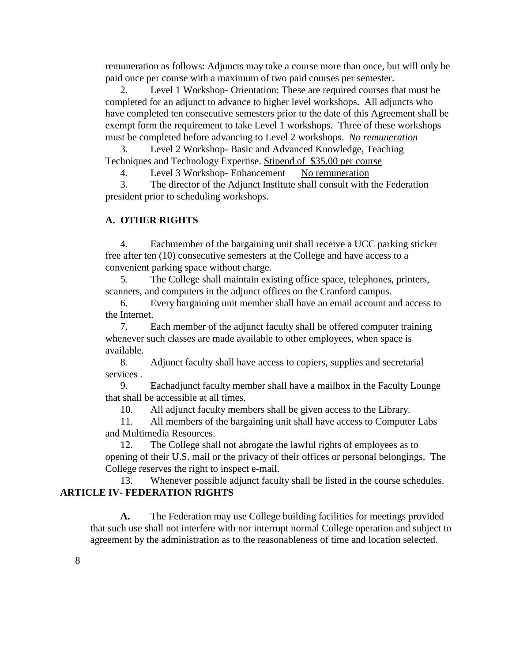remuneration as follows: Adjuncts may take a course more than once, but will only be paid once per course with a maximum of two paid courses per semester.

2. Level 1 Workshop- Orientation: These are required courses that must be completed for an adjunct to advance to higher level workshops. All adjuncts who have completed ten consecutive semesters prior to the date of this Agreement shall be exempt form the requirement to take Level 1 workshops. Three of these workshops must be completed before advancing to Level 2 workshops. *No remuneration*

3. Level 2 Workshop- Basic and Advanced Knowledge, Teaching Techniques and Technology Expertise. Stipend of \$35.00 per course

4. Level 3 Workshop- Enhancement No remuneration

3. The director of the Adjunct Institute shall consult with the Federation president prior to scheduling workshops.

### **A. OTHER RIGHTS**

4. Eachmember of the bargaining unit shall receive a UCC parking sticker free after ten (10) consecutive semesters at the College and have access to a convenient parking space without charge.

5. The College shall maintain existing office space, telephones, printers, scanners, and computers in the adjunct offices on the Cranford campus.

6. Every bargaining unit member shall have an email account and access to the Internet.

7. Each member of the adjunct faculty shall be offered computer training whenever such classes are made available to other employees, when space is available.

8. Adjunct faculty shall have access to copiers, supplies and secretarial services .

9. Eachadjunct faculty member shall have a mailbox in the Faculty Lounge that shall be accessible at all times.

10. All adjunct faculty members shall be given access to the Library.

11. All members of the bargaining unit shall have access to Computer Labs and Multimedia Resources.

12. The College shall not abrogate the lawful rights of employees as to opening of their U.S. mail or the privacy of their offices or personal belongings. The College reserves the right to inspect e-mail.

13. Whenever possible adjunct faculty shall be listed in the course schedules. **ARTICLE IV- FEDERATION RIGHTS**

**A.** The Federation may use College building facilities for meetings provided that such use shall not interfere with nor interrupt normal College operation and subject to agreement by the administration as to the reasonableness of time and location selected.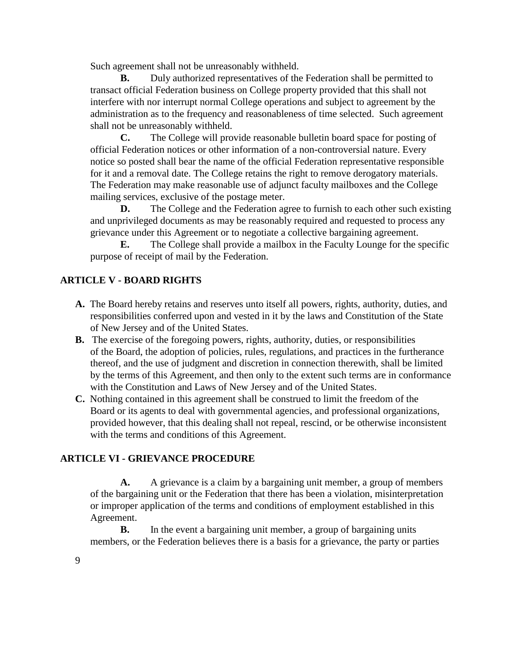Such agreement shall not be unreasonably withheld.

**B.** Duly authorized representatives of the Federation shall be permitted to transact official Federation business on College property provided that this shall not interfere with nor interrupt normal College operations and subject to agreement by the administration as to the frequency and reasonableness of time selected. Such agreement shall not be unreasonably withheld.

**C.** The College will provide reasonable bulletin board space for posting of official Federation notices or other information of a non-controversial nature. Every notice so posted shall bear the name of the official Federation representative responsible for it and a removal date. The College retains the right to remove derogatory materials. The Federation may make reasonable use of adjunct faculty mailboxes and the College mailing services, exclusive of the postage meter.

**D.** The College and the Federation agree to furnish to each other such existing and unprivileged documents as may be reasonably required and requested to process any grievance under this Agreement or to negotiate a collective bargaining agreement.

**E.** The College shall provide a mailbox in the Faculty Lounge for the specific purpose of receipt of mail by the Federation.

### **ARTICLE V - BOARD RIGHTS**

- **A.** The Board hereby retains and reserves unto itself all powers, rights, authority, duties, and responsibilities conferred upon and vested in it by the laws and Constitution of the State of New Jersey and of the United States.
- **B.** The exercise of the foregoing powers, rights, authority, duties, or responsibilities of the Board, the adoption of policies, rules, regulations, and practices in the furtherance thereof, and the use of judgment and discretion in connection therewith, shall be limited by the terms of this Agreement, and then only to the extent such terms are in conformance with the Constitution and Laws of New Jersey and of the United States.
- **C.** Nothing contained in this agreement shall be construed to limit the freedom of the Board or its agents to deal with governmental agencies, and professional organizations, provided however, that this dealing shall not repeal, rescind, or be otherwise inconsistent with the terms and conditions of this Agreement.

### **ARTICLE VI - GRIEVANCE PROCEDURE**

**A.** A grievance is a claim by a bargaining unit member, a group of members of the bargaining unit or the Federation that there has been a violation, misinterpretation or improper application of the terms and conditions of employment established in this Agreement.

**B.** In the event a bargaining unit member, a group of bargaining units members, or the Federation believes there is a basis for a grievance, the party or parties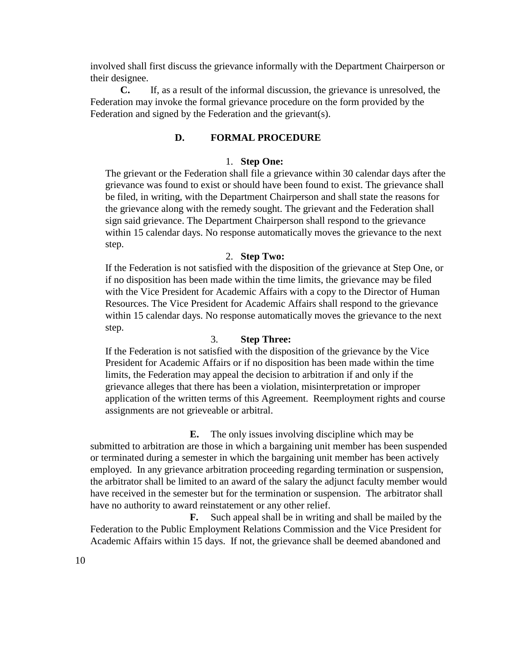involved shall first discuss the grievance informally with the Department Chairperson or their designee.

**C.** If, as a result of the informal discussion, the grievance is unresolved, the Federation may invoke the formal grievance procedure on the form provided by the Federation and signed by the Federation and the grievant(s).

### **D. FORMAL PROCEDURE**

### 1. **Step One:**

The grievant or the Federation shall file a grievance within 30 calendar days after the grievance was found to exist or should have been found to exist. The grievance shall be filed, in writing, with the Department Chairperson and shall state the reasons for the grievance along with the remedy sought. The grievant and the Federation shall sign said grievance. The Department Chairperson shall respond to the grievance within 15 calendar days. No response automatically moves the grievance to the next step.

#### 2. **Step Two:**

If the Federation is not satisfied with the disposition of the grievance at Step One, or if no disposition has been made within the time limits, the grievance may be filed with the Vice President for Academic Affairs with a copy to the Director of Human Resources. The Vice President for Academic Affairs shall respond to the grievance within 15 calendar days. No response automatically moves the grievance to the next step.

### 3. **Step Three:**

If the Federation is not satisfied with the disposition of the grievance by the Vice President for Academic Affairs or if no disposition has been made within the time limits, the Federation may appeal the decision to arbitration if and only if the grievance alleges that there has been a violation, misinterpretation or improper application of the written terms of this Agreement. Reemployment rights and course assignments are not grieveable or arbitral.

**E.** The only issues involving discipline which may be submitted to arbitration are those in which a bargaining unit member has been suspended or terminated during a semester in which the bargaining unit member has been actively employed. In any grievance arbitration proceeding regarding termination or suspension, the arbitrator shall be limited to an award of the salary the adjunct faculty member would have received in the semester but for the termination or suspension. The arbitrator shall have no authority to award reinstatement or any other relief.

**F.** Such appeal shall be in writing and shall be mailed by the Federation to the Public Employment Relations Commission and the Vice President for Academic Affairs within 15 days. If not, the grievance shall be deemed abandoned and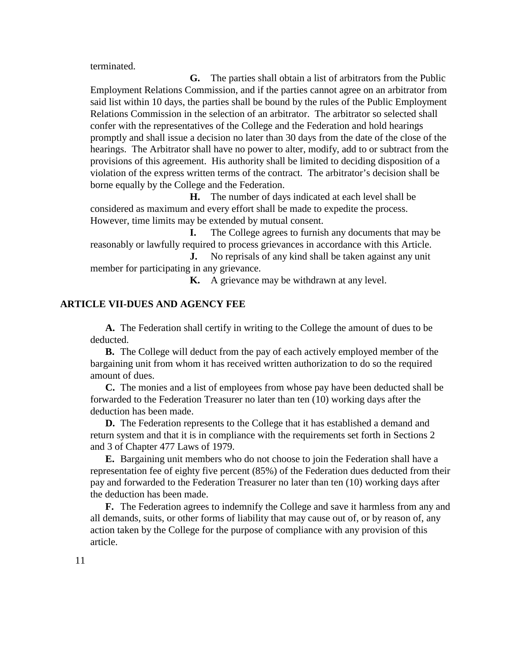terminated.

**G.** The parties shall obtain a list of arbitrators from the Public Employment Relations Commission, and if the parties cannot agree on an arbitrator from said list within 10 days, the parties shall be bound by the rules of the Public Employment Relations Commission in the selection of an arbitrator. The arbitrator so selected shall confer with the representatives of the College and the Federation and hold hearings promptly and shall issue a decision no later than 30 days from the date of the close of the hearings. The Arbitrator shall have no power to alter, modify, add to or subtract from the provisions of this agreement. His authority shall be limited to deciding disposition of a violation of the express written terms of the contract. The arbitrator's decision shall be borne equally by the College and the Federation.

**H.** The number of days indicated at each level shall be considered as maximum and every effort shall be made to expedite the process. However, time limits may be extended by mutual consent.

**I.** The College agrees to furnish any documents that may be reasonably or lawfully required to process grievances in accordance with this Article.

**J.** No reprisals of any kind shall be taken against any unit member for participating in any grievance.

**K.** A grievance may be withdrawn at any level.

#### **ARTICLE VII-DUES AND AGENCY FEE**

**A.** The Federation shall certify in writing to the College the amount of dues to be deducted.

**B.** The College will deduct from the pay of each actively employed member of the bargaining unit from whom it has received written authorization to do so the required amount of dues.

**C.** The monies and a list of employees from whose pay have been deducted shall be forwarded to the Federation Treasurer no later than ten (10) working days after the deduction has been made.

**D.** The Federation represents to the College that it has established a demand and return system and that it is in compliance with the requirements set forth in Sections 2 and 3 of Chapter 477 Laws of 1979.

**E.** Bargaining unit members who do not choose to join the Federation shall have a representation fee of eighty five percent (85%) of the Federation dues deducted from their pay and forwarded to the Federation Treasurer no later than ten (10) working days after the deduction has been made.

**F.** The Federation agrees to indemnify the College and save it harmless from any and all demands, suits, or other forms of liability that may cause out of, or by reason of, any action taken by the College for the purpose of compliance with any provision of this article.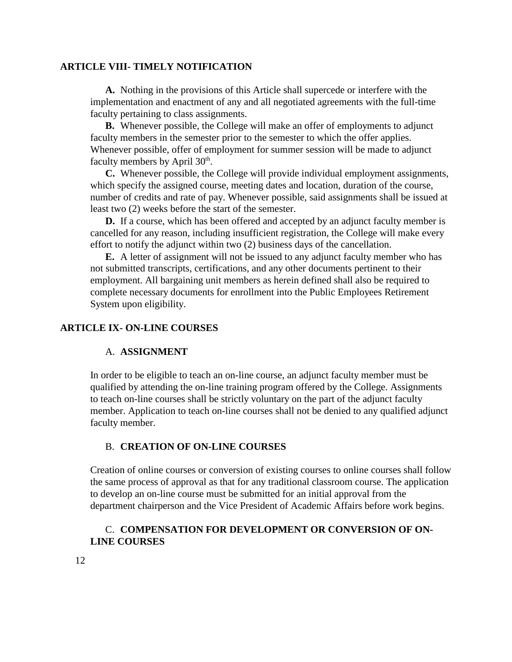#### **ARTICLE VIII- TIMELY NOTIFICATION**

**A.** Nothing in the provisions of this Article shall supercede or interfere with the implementation and enactment of any and all negotiated agreements with the full-time faculty pertaining to class assignments.

**B.** Whenever possible, the College will make an offer of employments to adjunct faculty members in the semester prior to the semester to which the offer applies. Whenever possible, offer of employment for summer session will be made to adjunct faculty members by April 30<sup>th</sup>.

**C.** Whenever possible, the College will provide individual employment assignments, which specify the assigned course, meeting dates and location, duration of the course, number of credits and rate of pay. Whenever possible, said assignments shall be issued at least two (2) weeks before the start of the semester.

**D.** If a course, which has been offered and accepted by an adjunct faculty member is cancelled for any reason, including insufficient registration, the College will make every effort to notify the adjunct within two (2) business days of the cancellation.

**E.** A letter of assignment will not be issued to any adjunct faculty member who has not submitted transcripts, certifications, and any other documents pertinent to their employment. All bargaining unit members as herein defined shall also be required to complete necessary documents for enrollment into the Public Employees Retirement System upon eligibility.

### **ARTICLE IX- ON-LINE COURSES**

#### A. **ASSIGNMENT**

In order to be eligible to teach an on-line course, an adjunct faculty member must be qualified by attending the on-line training program offered by the College. Assignments to teach on-line courses shall be strictly voluntary on the part of the adjunct faculty member. Application to teach on-line courses shall not be denied to any qualified adjunct faculty member.

#### B. **CREATION OF ON-LINE COURSES**

Creation of online courses or conversion of existing courses to online courses shall follow the same process of approval as that for any traditional classroom course. The application to develop an on-line course must be submitted for an initial approval from the department chairperson and the Vice President of Academic Affairs before work begins.

### C. **COMPENSATION FOR DEVELOPMENT OR CONVERSION OF ON-LINE COURSES**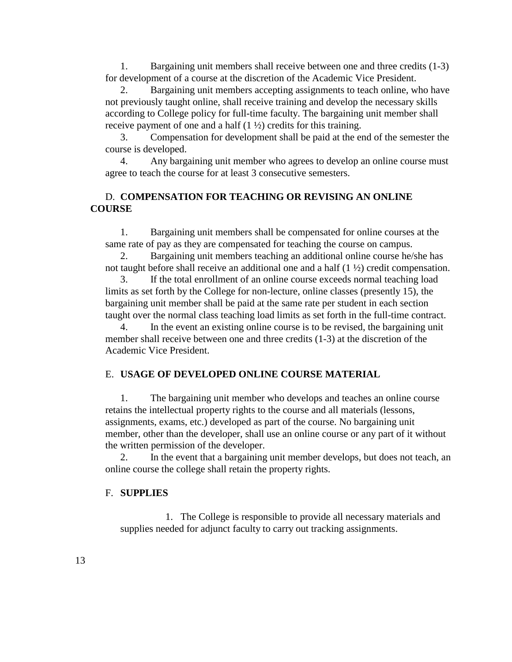1. Bargaining unit members shall receive between one and three credits (1-3) for development of a course at the discretion of the Academic Vice President.

2. Bargaining unit members accepting assignments to teach online, who have not previously taught online, shall receive training and develop the necessary skills according to College policy for full-time faculty. The bargaining unit member shall receive payment of one and a half  $(1 \frac{1}{2})$  credits for this training.

3. Compensation for development shall be paid at the end of the semester the course is developed.

4. Any bargaining unit member who agrees to develop an online course must agree to teach the course for at least 3 consecutive semesters.

### D. **COMPENSATION FOR TEACHING OR REVISING AN ONLINE COURSE**

1. Bargaining unit members shall be compensated for online courses at the same rate of pay as they are compensated for teaching the course on campus.

2. Bargaining unit members teaching an additional online course he/she has not taught before shall receive an additional one and a half  $(1 \frac{1}{2})$  credit compensation.

3. If the total enrollment of an online course exceeds normal teaching load limits as set forth by the College for non-lecture, online classes (presently 15), the bargaining unit member shall be paid at the same rate per student in each section taught over the normal class teaching load limits as set forth in the full-time contract.

4. In the event an existing online course is to be revised, the bargaining unit member shall receive between one and three credits (1-3) at the discretion of the Academic Vice President.

#### E. **USAGE OF DEVELOPED ONLINE COURSE MATERIAL**

1. The bargaining unit member who develops and teaches an online course retains the intellectual property rights to the course and all materials (lessons, assignments, exams, etc.) developed as part of the course. No bargaining unit member, other than the developer, shall use an online course or any part of it without the written permission of the developer.

2. In the event that a bargaining unit member develops, but does not teach, an online course the college shall retain the property rights.

#### F. **SUPPLIES**

1. The College is responsible to provide all necessary materials and supplies needed for adjunct faculty to carry out tracking assignments.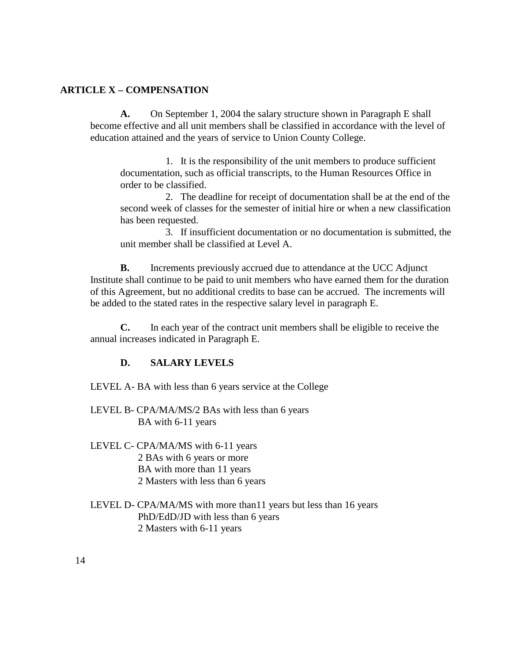### **ARTICLE X – COMPENSATION**

**A.** On September 1, 2004 the salary structure shown in Paragraph E shall become effective and all unit members shall be classified in accordance with the level of education attained and the years of service to Union County College.

1. It is the responsibility of the unit members to produce sufficient documentation, such as official transcripts, to the Human Resources Office in order to be classified.

2. The deadline for receipt of documentation shall be at the end of the second week of classes for the semester of initial hire or when a new classification has been requested.

3. If insufficient documentation or no documentation is submitted, the unit member shall be classified at Level A.

**B.** Increments previously accrued due to attendance at the UCC Adjunct Institute shall continue to be paid to unit members who have earned them for the duration of this Agreement, but no additional credits to base can be accrued. The increments will be added to the stated rates in the respective salary level in paragraph E.

**C.** In each year of the contract unit members shall be eligible to receive the annual increases indicated in Paragraph E.

### **D. SALARY LEVELS**

LEVEL A- BA with less than 6 years service at the College

- LEVEL B- CPA/MA/MS/2 BAs with less than 6 years BA with 6-11 years
- LEVEL C- CPA/MA/MS with 6-11 years 2 BAs with 6 years or more BA with more than 11 years 2 Masters with less than 6 years
- LEVEL D- CPA/MA/MS with more than11 years but less than 16 years PhD/EdD/JD with less than 6 years 2 Masters with 6-11 years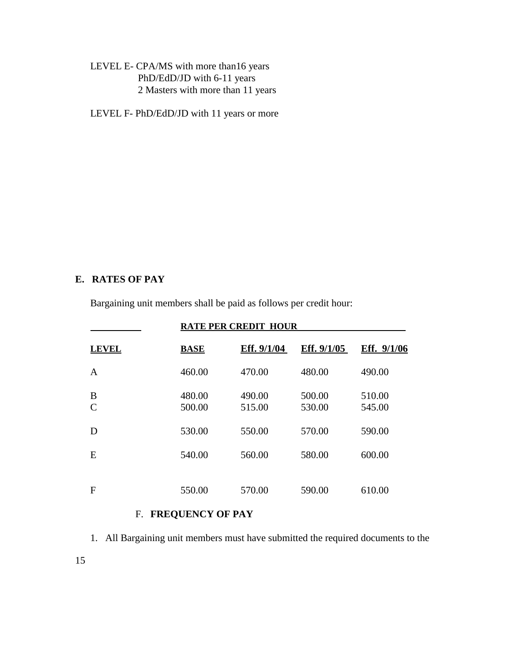LEVEL E- CPA/MS with more than16 years PhD/EdD/JD with 6-11 years 2 Masters with more than 11 years

LEVEL F- PhD/EdD/JD with 11 years or more

#### **E. RATES OF PAY**

Bargaining unit members shall be paid as follows per credit hour:

| <b>RATE PER CREDIT HOUR</b> |                  |                  |                  |                  |  |  |
|-----------------------------|------------------|------------------|------------------|------------------|--|--|
| <b>LEVEL</b>                | <b>BASE</b>      | Eff. 9/1/04      | Eff. 9/1/05      | Eff. 9/1/06      |  |  |
| A                           | 460.00           | 470.00           | 480.00           | 490.00           |  |  |
| B<br>$\mathcal{C}$          | 480.00<br>500.00 | 490.00<br>515.00 | 500.00<br>530.00 | 510.00<br>545.00 |  |  |
| D                           | 530.00           | 550.00           | 570.00           | 590.00           |  |  |
| E                           | 540.00           | 560.00           | 580.00           | 600.00           |  |  |
| F                           | 550.00           | 570.00           | 590.00           | 610.00           |  |  |

## F. **FREQUENCY OF PAY**

1. All Bargaining unit members must have submitted the required documents to the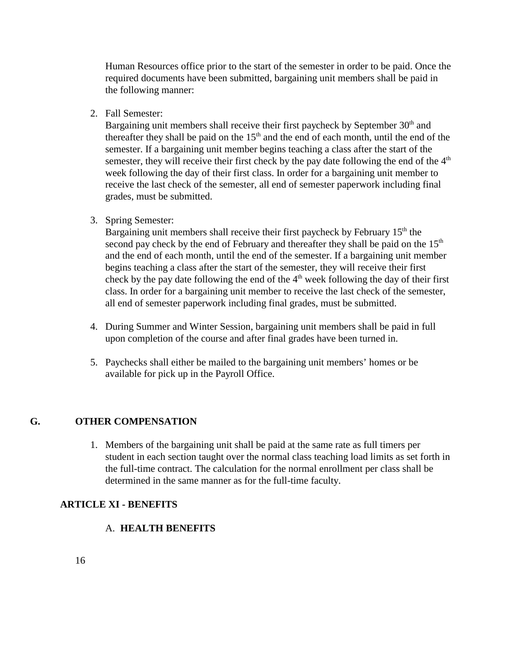Human Resources office prior to the start of the semester in order to be paid. Once the required documents have been submitted, bargaining unit members shall be paid in the following manner:

2. Fall Semester:

Bargaining unit members shall receive their first paycheck by September 30<sup>th</sup> and thereafter they shall be paid on the  $15<sup>th</sup>$  and the end of each month, until the end of the semester. If a bargaining unit member begins teaching a class after the start of the semester, they will receive their first check by the pay date following the end of the  $4<sup>th</sup>$ week following the day of their first class. In order for a bargaining unit member to receive the last check of the semester, all end of semester paperwork including final grades, must be submitted.

### 3. Spring Semester:

Bargaining unit members shall receive their first paycheck by February  $15<sup>th</sup>$  the second pay check by the end of February and thereafter they shall be paid on the  $15<sup>th</sup>$ and the end of each month, until the end of the semester. If a bargaining unit member begins teaching a class after the start of the semester, they will receive their first check by the pay date following the end of the  $4<sup>th</sup>$  week following the day of their first class. In order for a bargaining unit member to receive the last check of the semester, all end of semester paperwork including final grades, must be submitted.

- 4. During Summer and Winter Session, bargaining unit members shall be paid in full upon completion of the course and after final grades have been turned in.
- 5. Paychecks shall either be mailed to the bargaining unit members' homes or be available for pick up in the Payroll Office.

### **G. OTHER COMPENSATION**

1. Members of the bargaining unit shall be paid at the same rate as full timers per student in each section taught over the normal class teaching load limits as set forth in the full-time contract. The calculation for the normal enrollment per class shall be determined in the same manner as for the full-time faculty.

### **ARTICLE XI - BENEFITS**

## A. **HEALTH BENEFITS**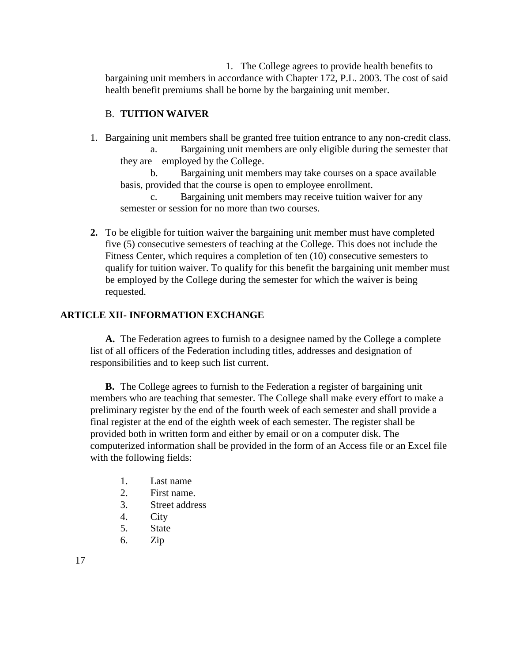1. The College agrees to provide health benefits to bargaining unit members in accordance with Chapter 172, P.L. 2003. The cost of said health benefit premiums shall be borne by the bargaining unit member.

### B. **TUITION WAIVER**

1. Bargaining unit members shall be granted free tuition entrance to any non-credit class.

a. Bargaining unit members are only eligible during the semester that they are employed by the College.

b. Bargaining unit members may take courses on a space available basis, provided that the course is open to employee enrollment.

c. Bargaining unit members may receive tuition waiver for any semester or session for no more than two courses.

**2.** To be eligible for tuition waiver the bargaining unit member must have completed five (5) consecutive semesters of teaching at the College. This does not include the Fitness Center, which requires a completion of ten (10) consecutive semesters to qualify for tuition waiver. To qualify for this benefit the bargaining unit member must be employed by the College during the semester for which the waiver is being requested.

### **ARTICLE XII- INFORMATION EXCHANGE**

**A.** The Federation agrees to furnish to a designee named by the College a complete list of all officers of the Federation including titles, addresses and designation of responsibilities and to keep such list current.

**B.** The College agrees to furnish to the Federation a register of bargaining unit members who are teaching that semester. The College shall make every effort to make a preliminary register by the end of the fourth week of each semester and shall provide a final register at the end of the eighth week of each semester. The register shall be provided both in written form and either by email or on a computer disk. The computerized information shall be provided in the form of an Access file or an Excel file with the following fields:

- 1. Last name
- 2. First name.
- 3. Street address
- 4. City
- 5. State
- 6. Zip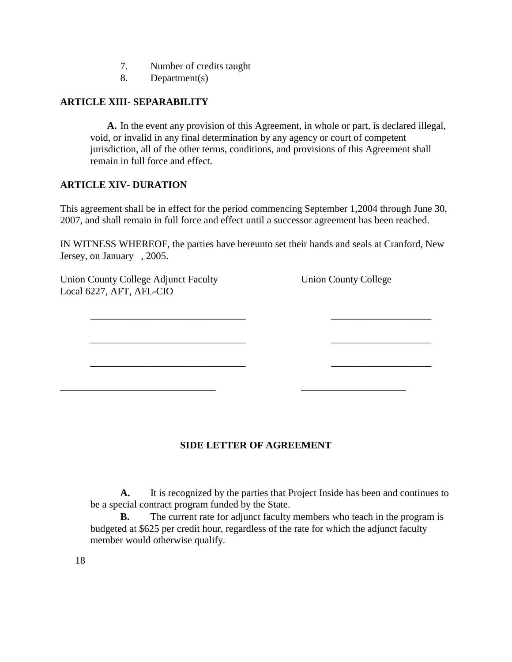- 7. Number of credits taught
- 8. Department(s)

### **ARTICLE XIII- SEPARABILITY**

**A.** In the event any provision of this Agreement, in whole or part, is declared illegal, void, or invalid in any final determination by any agency or court of competent jurisdiction, all of the other terms, conditions, and provisions of this Agreement shall remain in full force and effect.

### **ARTICLE XIV- DURATION**

This agreement shall be in effect for the period commencing September 1,2004 through June 30, 2007, and shall remain in full force and effect until a successor agreement has been reached.

IN WITNESS WHEREOF, the parties have hereunto set their hands and seals at Cranford, New Jersey, on January , 2005.

\_\_\_\_\_\_\_\_\_\_\_\_\_\_\_\_\_\_\_\_\_\_\_\_\_\_\_\_\_\_\_ \_\_\_\_\_\_\_\_\_\_\_\_\_\_\_\_\_\_\_\_

\_\_\_\_\_\_\_\_\_\_\_\_\_\_\_\_\_\_\_\_\_\_\_\_\_\_\_\_\_\_\_ \_\_\_\_\_\_\_\_\_\_\_\_\_\_\_\_\_\_\_\_

\_\_\_\_\_\_\_\_\_\_\_\_\_\_\_\_\_\_\_\_\_\_\_\_\_\_\_\_\_\_\_ \_\_\_\_\_\_\_\_\_\_\_\_\_\_\_\_\_\_\_\_

\_\_\_\_\_\_\_\_\_\_\_\_\_\_\_\_\_\_\_\_\_\_\_\_\_\_\_\_\_\_\_ \_\_\_\_\_\_\_\_\_\_\_\_\_\_\_\_\_\_\_\_\_

Union County College Adjunct Faculty Union County College Local 6227, AFT, AFL-CIO

### **SIDE LETTER OF AGREEMENT**

**A.** It is recognized by the parties that Project Inside has been and continues to be a special contract program funded by the State.

**B.** The current rate for adjunct faculty members who teach in the program is budgeted at \$625 per credit hour, regardless of the rate for which the adjunct faculty member would otherwise qualify.